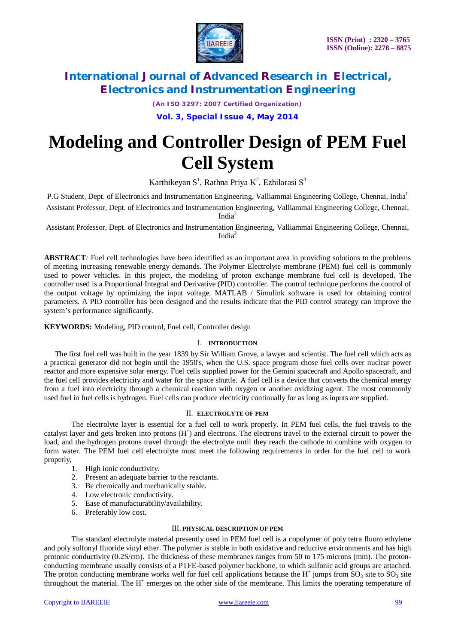

*(An ISO 3297: 2007 Certified Organization)*

**Vol. 3, Special Issue 4, May 2014**

# **Modeling and Controller Design of PEM Fuel Cell System**

Karthikeyan  $S^1$ , Rathna Priya K<sup>2</sup>, Ezhilarasi  $S^3$ 

P.G Student, Dept. of Electronics and Instrumentation Engineering, Valliammai Engineering College, Chennai, India<sup>1</sup> Assistant Professor, Dept. of Electronics and Instrumentation Engineering, Valliammai Engineering College, Chennai, Indi $a^2$ 

Assistant Professor, Dept. of Electronics and Instrumentation Engineering, Valliammai Engineering College, Chennai, India<sup>3</sup>

**ABSTRACT***:* Fuel cell technologies have been identified as an important area in providing solutions to the problems of meeting increasing renewable energy demands. The Polymer Electrolyte membrane (PEM) fuel cell is commonly used to power vehicles. In this project, the modeling of proton exchange membrane fuel cell is developed. The controller used is a Proportional Integral and Derivative (PID) controller. The control technique performs the control of the output voltage by optimizing the input voltage. MATLAB / Simulink software is used for obtaining control parameters. A PID controller has been designed and the results indicate that the PID control strategy can improve the system's performance significantly.

**KEYWORDS:** Modeling, PID control, Fuel cell, Controller design

### I. **INTRODUCTION**

The first fuel cell was built in the year 1839 by Sir William Grove, a lawyer and scientist. The fuel cell which acts as a practical generator did not begin until the 1950's, when the U.S. space program chose fuel cells over nuclear power reactor and more expensive solar energy. Fuel cells supplied power for the Gemini spacecraft and Apollo spacecraft, and the fuel cell provides electricity and water for the space shuttle. A fuel cell is a device that converts the chemical energy from a fuel into electricity through a chemical reaction with oxygen or another oxidizing agent. The most commonly used fuel in fuel cells is hydrogen. Fuel cells can produce electricity continually for as long as inputs are supplied.

### II. **ELECTROLYTE OF PEM**

The electrolyte layer is essential for a fuel cell to work properly. In PEM fuel cells, the fuel travels to the catalyst layer and gets broken into protons  $(H<sup>+</sup>)$  and electrons. The electrons travel to the external circuit to power the load, and the hydrogen protons travel through the electrolyte until they reach the cathode to combine with oxygen to form water. The PEM fuel cell electrolyte must meet the following requirements in order for the fuel cell to work properly,

- 1. High ionic conductivity.
- 2. Present an adequate barrier to the reactants.
- 3. Be chemically and mechanically stable.
- 4. Low electronic conductivity.
- 5. Ease of manufacturability/availability.
- 6. Preferably low cost.

#### III. **PHYSICAL DESCRIPTION OF PEM**

The standard electrolyte material presently used in PEM fuel cell is a copolymer of poly tetra fluoro ethylene and poly sulfonyl fluoride vinyl ether. The polymer is stable in both oxidative and reductive environments and has high protonic conductivity (0.2S/cm). The thickness of these membranes ranges from 50 to 175 microns (mm). The protonconducting membrane usually consists of a PTFE-based polymer backbone, to which sulfonic acid groups are attached. The proton conducting membrane works well for fuel cell applications because the  $H^+$  jumps from  $SO_3$  site to  $SO_3$  site throughout the material. The H<sup>+</sup> emerges on the other side of the membrane. This limits the operating temperature of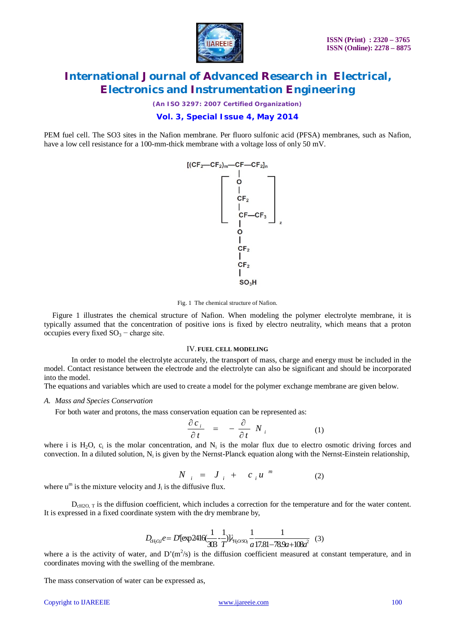

*(An ISO 3297: 2007 Certified Organization)*

### **Vol. 3, Special Issue 4, May 2014**

PEM fuel cell. The SO3 sites in the Nafion membrane. Per fluoro sulfonic acid (PFSA) membranes, such as Nafion, have a low cell resistance for a 100-mm-thick membrane with a voltage loss of only 50 mV.



#### Fig. 1 The chemical structure of Nafion.

Figure 1 illustrates the chemical structure of Nafion. When modeling the polymer electrolyte membrane, it is typically assumed that the concentration of positive ions is fixed by electro neutrality, which means that a proton occupies every fixed  $SO_3$  – charge site.

#### IV. **FUEL CELL MODELING**

In order to model the electrolyte accurately, the transport of mass, charge and energy must be included in the model. Contact resistance between the electrode and the electrolyte can also be significant and should be incorporated into the model.

The equations and variables which are used to create a model for the polymer exchange membrane are given below.

#### *A. Mass and Species Conservation*

For both water and protons, the mass conservation equation can be represented as:

$$
\frac{\partial c_i}{\partial t} = -\frac{\partial}{\partial t} N_i \tag{1}
$$

where i is H<sub>2</sub>O,  $c_i$  is the molar concentration, and N<sub>i</sub> is the molar flux due to electro osmotic driving forces and convection. In a diluted solution,  $N_i$  is given by the Nernst-Planck equation along with the Nernst-Einstein relationship,

$$
N_{i} = J_{i} + c_{i} u^{m} \qquad (2)
$$

where  $u^m$  is the mixture velocity and  $J_i$  is the diffusive flux.

 $D_{\text{cH2O}}$ , T is the diffusion coefficient, which includes a correction for the temperature and for the water content. It is expressed in a fixed coordinate system with the dry membrane by,

$$
D_{\text{ch}_2\text{O}l}e = D[\exp 2416(\frac{1}{303} - \frac{1}{T})] \lambda_{\text{th}_2\text{O}} \lambda_3 \frac{1}{a} \frac{1}{17.81 - 78.9a + 108a^2} \tag{3}
$$

where a is the activity of water, and  $D'(m^2/s)$  is the diffusion coefficient measured at constant temperature, and in coordinates moving with the swelling of the membrane.

The mass conservation of water can be expressed as,

#### Copyright to IJAREEIE www.ijareeie.com 100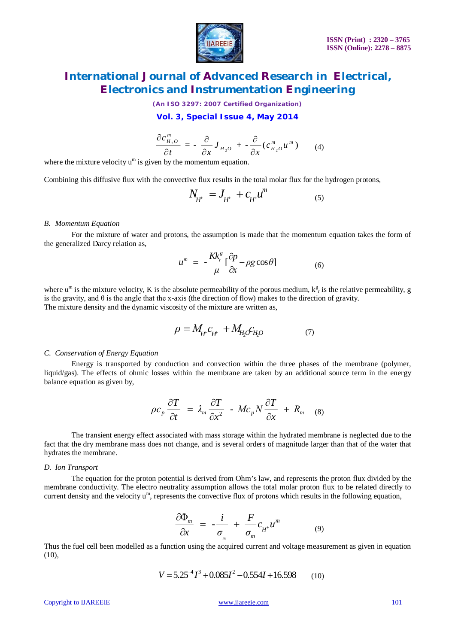

*(An ISO 3297: 2007 Certified Organization)*

### **Vol. 3, Special Issue 4, May 2014**

$$
\frac{\partial c_{H_2O}^m}{\partial t} = -\frac{\partial}{\partial x} J_{H_2O} + -\frac{\partial}{\partial x} (c_{H_2O}^m u^m) \qquad (4)
$$

where the mixture velocity  $u^m$  is given by the momentum equation.

Combining this diffusive flux with the convective flux results in the total molar flux for the hydrogen protons,

$$
N_{H^+} = J_{H^+} + c_{H^+} u^m \tag{5}
$$

#### *B. Momentum Equation*

For the mixture of water and protons, the assumption is made that the momentum equation takes the form of the generalized Darcy relation as,

*g*

$$
u^{m} = -\frac{Kk_{r}^{g}}{\mu} \left[ \frac{\partial p}{\partial x} - \rho g \cos \theta \right]
$$
 (6)

where  $u^m$  is the mixture velocity, K is the absolute permeability of the porous medium,  $k^g$  is the relative permeability, g is the gravity, and  $\theta$  is the angle that the x-axis (the direction of flow) makes to the direction of gravity. The mixture density and the dynamic viscosity of the mixture are written as,

$$
\rho = M_{H} c_{H} + M_{H_2} c_{H_2} \tag{7}
$$

#### *C. Conservation of Energy Equation*

Energy is transported by conduction and convection within the three phases of the membrane (polymer, liquid/gas). The effects of ohmic losses within the membrane are taken by an additional source term in the energy balance equation as given by,

$$
\rho c_p \frac{\partial T}{\partial t} = \lambda_m \frac{\partial T}{\partial x^2} - Mc_p N \frac{\partial T}{\partial x} + R_m \quad (8)
$$

The transient energy effect associated with mass storage within the hydrated membrane is neglected due to the fact that the dry membrane mass does not change, and is several orders of magnitude larger than that of the water that hydrates the membrane.

#### *D. Ion Transport*

The equation for the proton potential is derived from Ohm's law, and represents the proton flux divided by the membrane conductivity. The electro neutrality assumption allows the total molar proton flux to be related directly to current density and the velocity  $u^m$ , represents the convective flux of protons which results in the following equation,

$$
\frac{\partial \Phi_m}{\partial x} = -\frac{i}{\sigma_m} + \frac{F}{\sigma_m} c_{H^+} u^m \tag{9}
$$

Thus the fuel cell been modelled as a function using the acquired current and voltage measurement as given in equation  $(10)$ ,

$$
V = 5.25^{-4}I^3 + 0.085I^2 - 0.554I + 16.598
$$
 (10)

Copyright to IJAREEIE www.ijareeie.com 101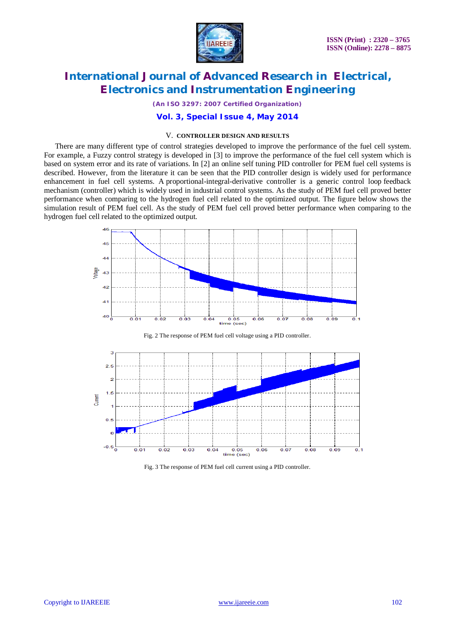

*(An ISO 3297: 2007 Certified Organization)*

## **Vol. 3, Special Issue 4, May 2014**

### V. **CONTROLLER DESIGN AND RESULTS**

There are many different type of control strategies developed to improve the performance of the fuel cell system. For example, a Fuzzy control strategy is developed in [3] to improve the performance of the fuel cell system which is based on system error and its rate of variations. In [2] an online self tuning PID controller for PEM fuel cell systems is described. However, from the literature it can be seen that the PID controller design is widely used for performance enhancement in fuel cell systems. A proportional-integral-derivative controller is a generic control loop feedback mechanism (controller) which is widely used in industrial control systems. As the study of PEM fuel cell proved better performance when comparing to the hydrogen fuel cell related to the optimized output. The figure below shows the simulation result of PEM fuel cell. As the study of PEM fuel cell proved better performance when comparing to the hydrogen fuel cell related to the optimized output.



Fig. 2 The response of PEM fuel cell voltage using a PID controller.



Fig. 3 The response of PEM fuel cell current using a PID controller.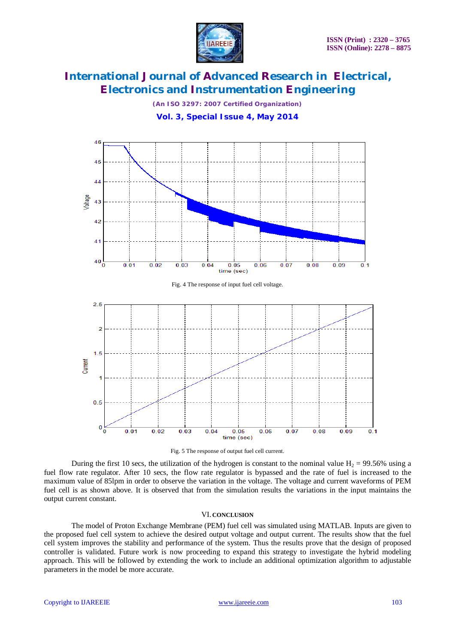

*(An ISO 3297: 2007 Certified Organization)*

**Vol. 3, Special Issue 4, May 2014**





During the first 10 secs, the utilization of the hydrogen is constant to the nominal value  $H_2 = 99.56\%$  using a fuel flow rate regulator. After 10 secs, the flow rate regulator is bypassed and the rate of fuel is increased to the maximum value of 85lpm in order to observe the variation in the voltage. The voltage and current waveforms of PEM fuel cell is as shown above. It is observed that from the simulation results the variations in the input maintains the output current constant.

#### VI. **CONCLUSION**

The model of Proton Exchange Membrane (PEM) fuel cell was simulated using MATLAB. Inputs are given to the proposed fuel cell system to achieve the desired output voltage and output current. The results show that the fuel cell system improves the stability and performance of the system. Thus the results prove that the design of proposed controller is validated. Future work is now proceeding to expand this strategy to investigate the hybrid modeling approach. This will be followed by extending the work to include an additional optimization algorithm to adjustable parameters in the model be more accurate.